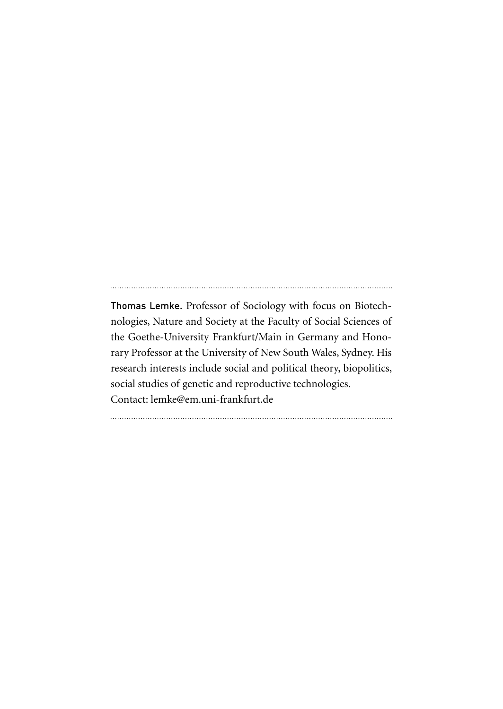Thomas Lemke. Professor of Sociology with focus on Biotechnologies, Nature and Society at the Faculty of Social Sciences of the Goethe-University Frankfurt/Main in Germany and Honorary Professor at the University of New South Wales, Sydney. His research interests include social and political theory, biopolitics, social studies of genetic and reproductive technologies. Contact: lemke@em.uni-frankfurt.de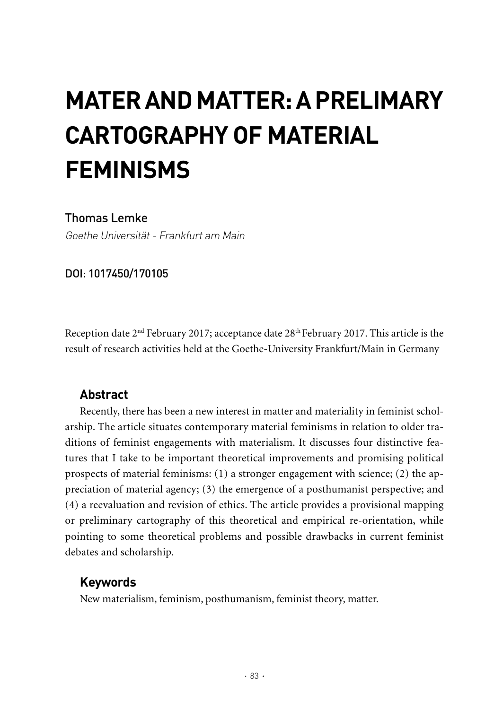# **MATER AND MATTER: A PRELIMARY CARTOGRAPHY OF MATERIAL FEMINISMS**

# Thomas Lemke

Goethe Universität - Frankfurt am Main

DOI: 1017450/170105

Reception date 2<sup>nd</sup> February 2017; acceptance date 28<sup>th</sup> February 2017. This article is the result of research activities held at the Goethe-University Frankfurt/Main in Germany

# **Abstract**

Recently, there has been a new interest in matter and materiality in feminist scholarship. The article situates contemporary material feminisms in relation to older traditions of feminist engagements with materialism. It discusses four distinctive features that I take to be important theoretical improvements and promising political prospects of material feminisms: (1) a stronger engagement with science; (2) the appreciation of material agency; (3) the emergence of a posthumanist perspective; and (4) a reevaluation and revision of ethics. The article provides a provisional mapping or preliminary cartography of this theoretical and empirical re-orientation, while pointing to some theoretical problems and possible drawbacks in current feminist debates and scholarship.

## **Keywords**

New materialism, feminism, posthumanism, feminist theory, matter.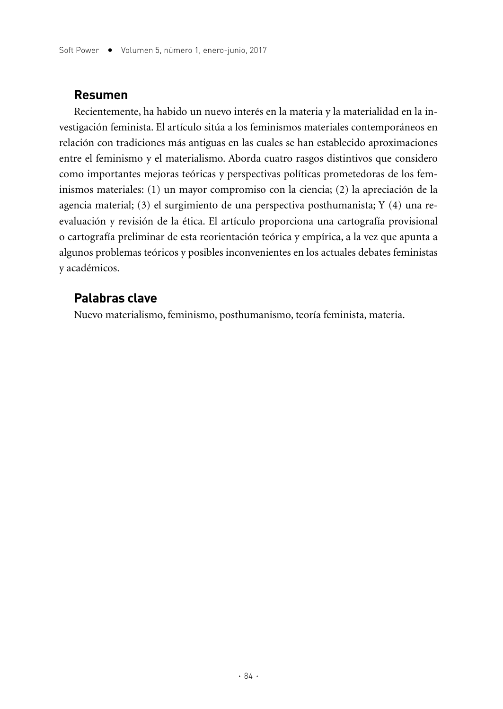#### **Resumen**

Recientemente, ha habido un nuevo interés en la materia y la materialidad en la investigación feminista. El artículo sitúa a los feminismos materiales contemporáneos en relación con tradiciones más antiguas en las cuales se han establecido aproximaciones entre el feminismo y el materialismo. Aborda cuatro rasgos distintivos que considero como importantes mejoras teóricas y perspectivas políticas prometedoras de los feminismos materiales: (1) un mayor compromiso con la ciencia; (2) la apreciación de la agencia material; (3) el surgimiento de una perspectiva posthumanista; Y (4) una reevaluación y revisión de la ética. El artículo proporciona una cartografía provisional o cartografía preliminar de esta reorientación teórica y empírica, a la vez que apunta a algunos problemas teóricos y posibles inconvenientes en los actuales debates feministas y académicos.

#### **Palabras clave**

Nuevo materialismo, feminismo, posthumanismo, teoría feminista, materia.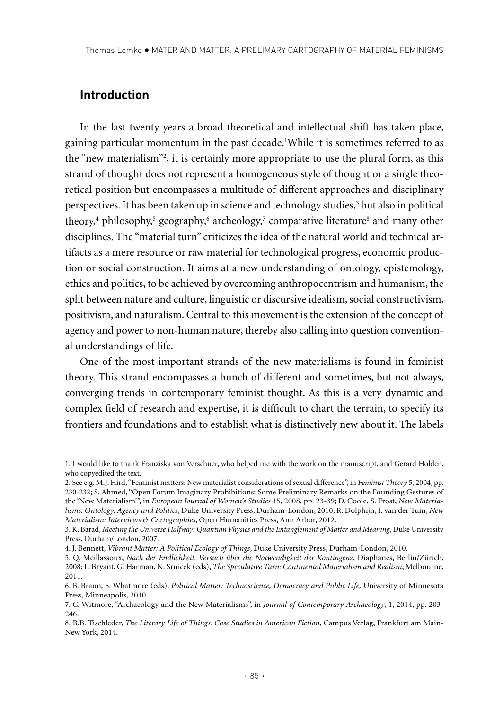# **Introduction**

In the last twenty years a broad theoretical and intellectual shift has taken place, gaining particular momentum in the past decade.1 While it is sometimes referred to as the "new materialism"2 , it is certainly more appropriate to use the plural form, as this strand of thought does not represent a homogeneous style of thought or a single theoretical position but encompasses a multitude of different approaches and disciplinary perspectives. It has been taken up in science and technology studies,<sup>3</sup> but also in political theory,<sup>4</sup> philosophy,<sup>5</sup> geography,<sup>6</sup> archeology,<sup>7</sup> comparative literature<sup>8</sup> and many other disciplines. The "material turn" criticizes the idea of the natural world and technical artifacts as a mere resource or raw material for technological progress, economic production or social construction. It aims at a new understanding of ontology, epistemology, ethics and politics, to be achieved by overcoming anthropocentrism and humanism, the split between nature and culture, linguistic or discursive idealism, social constructivism, positivism, and naturalism. Central to this movement is the extension of the concept of agency and power to non-human nature, thereby also calling into question conventional understandings of life.

One of the most important strands of the new materialisms is found in feminist theory. This strand encompasses a bunch of different and sometimes, but not always, converging trends in contemporary feminist thought. As this is a very dynamic and complex field of research and expertise, it is difficult to chart the terrain, to specify its frontiers and foundations and to establish what is distinctively new about it. The labels

<sup>1.</sup> I would like to thank Franziska von Verschuer, who helped me with the work on the manuscript, and Gerard Holden, who copyedited the text.

<sup>2.</sup> See e.g. M.J. Hird, "Feminist matters: New materialist considerations of sexual difference", in *Feminist Theory* 5, 2004, pp. 230-232; S. Ahmed, "Open Forum Imaginary Prohibitions: Some Preliminary Remarks on the Founding Gestures of the 'New Materialism'", in *European Journal of Women's Studies* 15, 2008, pp. 23-39; D. Coole, S. Frost, *New Materialisms: Ontology, Agency and Politics*, Duke University Press, Durham-London, 2010; R. Dolphijn, I. van der Tuin, *New Materialism: Interviews & Cartographies*, Open Humanities Press, Ann Arbor, 2012.

<sup>3.</sup> K. Barad, *Meeting the Universe Halfway: Quantum Physics and the Entanglement of Matter and Meaning*, Duke University Press, Durham/London, 2007.

<sup>4.</sup> J. Bennett, *Vibrant Matter: A Political Ecology of Things*, Duke University Press, Durham-London, 2010.

<sup>5.</sup> Q. Meillassoux, *Nach der Endlichkeit. Versuch über die Notwendigkeit der Kontingenz*, Diaphanes, Berlin/Zürich, 2008; L. Bryant, G. Harman, N. Srnicek (eds), *The Speculative Turn: Continental Materialism and Realism*, Melbourne, 2011.

<sup>6.</sup> B. Braun, S. Whatmore (eds), *Political Matter: Technoscience, Democracy and Public Life,* University of Minnesota Press, Minneapolis, 2010.

<sup>7.</sup> C. Witmore, "Archaeology and the New Materialisms", in *Journal of Contemporary Archaeology*, 1, 2014, pp. 203- 246.

<sup>8.</sup> B.B. Tischleder, *The Literary Life of Things. Case Studies in American Fiction*, Campus Verlag, Frankfurt am Main-New York, 2014.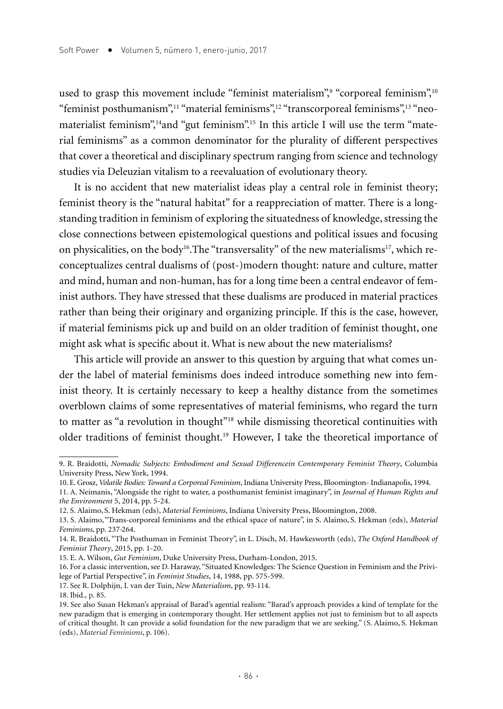used to grasp this movement include "feminist materialism"," "corporeal feminism",10 "feminist posthumanism",<sup>11</sup> "material feminisms",<sup>12</sup> "transcorporeal feminisms",<sup>13</sup> "neomaterialist feminism",<sup>14</sup>and "gut feminism".<sup>15</sup> In this article I will use the term "material feminisms" as a common denominator for the plurality of different perspectives that cover a theoretical and disciplinary spectrum ranging from science and technology studies via Deleuzian vitalism to a reevaluation of evolutionary theory.

It is no accident that new materialist ideas play a central role in feminist theory; feminist theory is the "natural habitat" for a reappreciation of matter. There is a longstanding tradition in feminism of exploring the situatedness of knowledge, stressing the close connections between epistemological questions and political issues and focusing on physicalities, on the body<sup>16</sup>. The "transversality" of the new materialisms<sup>17</sup>, which reconceptualizes central dualisms of (post-)modern thought: nature and culture, matter and mind, human and non-human, has for a long time been a central endeavor of feminist authors. They have stressed that these dualisms are produced in material practices rather than being their originary and organizing principle. If this is the case, however, if material feminisms pick up and build on an older tradition of feminist thought, one might ask what is specific about it. What is new about the new materialisms?

This article will provide an answer to this question by arguing that what comes under the label of material feminisms does indeed introduce something new into feminist theory. It is certainly necessary to keep a healthy distance from the sometimes overblown claims of some representatives of material feminisms, who regard the turn to matter as "a revolution in thought"18 while dismissing theoretical continuities with older traditions of feminist thought.19 However, I take the theoretical importance of

<sup>9.</sup> R. Braidotti, *Nomadic Subjects: Embodiment and Sexual Differencein Contemporary Feminist Theory*, Columbia University Press, New York, 1994.

<sup>10.</sup> E. Grosz, *Volatile Bodies: Toward a Corporeal Feminism*, Indiana University Press, Bloomington- Indianapolis, 1994.

<sup>11.</sup> A. Neimanis, "Alongside the right to water, a posthumanist feminist imaginary", in *Journal of Human Rights and the Environment* 5, 2014, pp. 5-24.

<sup>12.</sup> S. Alaimo, S. Hekman (eds), *Material Feminisms*, Indiana University Press, Bloomington, 2008.

<sup>13.</sup> S. Alaimo, "Trans-corporeal feminisms and the ethical space of nature", in S. Alaimo, S. Hekman (eds), *Material Feminisms*, pp. 237-264.

<sup>14.</sup> R. Braidotti, "The Posthuman in Feminist Theory", in L. Disch, M. Hawkesworth (eds), *The Oxford Handbook of Feminist Theory*, 2015, pp. 1-20.

<sup>15.</sup> E. A. Wilson, *Gut Feminism*, Duke University Press, Durham-London, 2015.

<sup>16.</sup> For a classic intervention, see D. Haraway, "Situated Knowledges: The Science Question in Feminism and the Privilege of Partial Perspective", in *Feminist Studies*, 14, 1988, pp. 575-599.

<sup>17.</sup> See R. Dolphijn, I. van der Tuin, *New Materialism*, pp. 93-114.

<sup>18.</sup> Ibid., p. 85.

<sup>19.</sup> See also Susan Hekman's appraisal of Barad's agential realism: "Barad's approach provides a kind of template for the new paradigm that is emerging in contemporary thought. Her settlement applies not just to feminism but to all aspects of critical thought. It can provide a solid foundation for the new paradigm that we are seeking." (S. Alaimo, S. Hekman (eds), *Material Feminisms*, p. 106).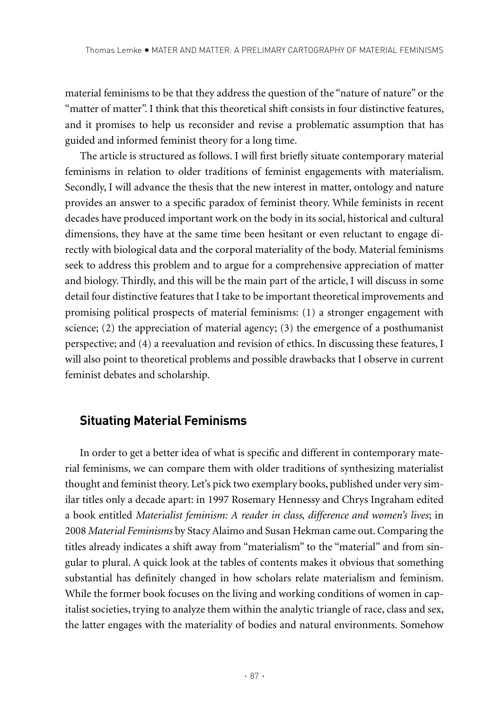material feminisms to be that they address the question of the "nature of nature" or the "matter of matter". I think that this theoretical shift consists in four distinctive features, and it promises to help us reconsider and revise a problematic assumption that has guided and informed feminist theory for a long time.

The article is structured as follows. I will first briefly situate contemporary material feminisms in relation to older traditions of feminist engagements with materialism. Secondly, I will advance the thesis that the new interest in matter, ontology and nature provides an answer to a specific paradox of feminist theory. While feminists in recent decades have produced important work on the body in its social, historical and cultural dimensions, they have at the same time been hesitant or even reluctant to engage directly with biological data and the corporal materiality of the body. Material feminisms seek to address this problem and to argue for a comprehensive appreciation of matter and biology. Thirdly, and this will be the main part of the article, I will discuss in some detail four distinctive features that I take to be important theoretical improvements and promising political prospects of material feminisms: (1) a stronger engagement with science; (2) the appreciation of material agency; (3) the emergence of a posthumanist perspective; and (4) a reevaluation and revision of ethics. In discussing these features, I will also point to theoretical problems and possible drawbacks that I observe in current feminist debates and scholarship.

## **Situating Material Feminisms**

In order to get a better idea of what is specific and different in contemporary material feminisms, we can compare them with older traditions of synthesizing materialist thought and feminist theory. Let's pick two exemplary books, published under very similar titles only a decade apart: in 1997 Rosemary Hennessy and Chrys Ingraham edited a book entitled *Materialist feminism: A reader in class, difference and women's lives*; in 2008 *Material Feminisms* by Stacy Alaimo and Susan Hekman came out. Comparing the titles already indicates a shift away from "materialism" to the "material" and from singular to plural. A quick look at the tables of contents makes it obvious that something substantial has definitely changed in how scholars relate materialism and feminism. While the former book focuses on the living and working conditions of women in capitalist societies, trying to analyze them within the analytic triangle of race, class and sex, the latter engages with the materiality of bodies and natural environments. Somehow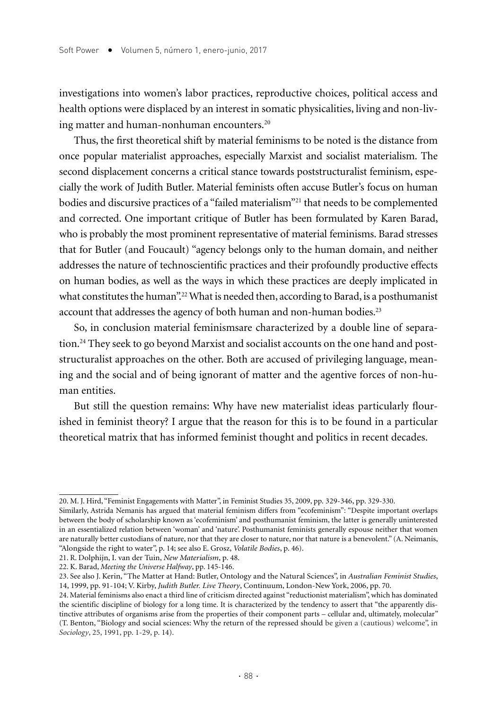investigations into women's labor practices, reproductive choices, political access and health options were displaced by an interest in somatic physicalities, living and non-living matter and human-nonhuman encounters.<sup>20</sup>

Thus, the first theoretical shift by material feminisms to be noted is the distance from once popular materialist approaches, especially Marxist and socialist materialism. The second displacement concerns a critical stance towards poststructuralist feminism, especially the work of Judith Butler. Material feminists often accuse Butler's focus on human bodies and discursive practices of a "failed materialism"21 that needs to be complemented and corrected. One important critique of Butler has been formulated by Karen Barad, who is probably the most prominent representative of material feminisms. Barad stresses that for Butler (and Foucault) "agency belongs only to the human domain, and neither addresses the nature of technoscientific practices and their profoundly productive effects on human bodies, as well as the ways in which these practices are deeply implicated in what constitutes the human".<sup>22</sup> What is needed then, according to Barad, is a posthumanist account that addresses the agency of both human and non-human bodies.<sup>23</sup>

So, in conclusion material feminismsare characterized by a double line of separation.<sup>24</sup> They seek to go beyond Marxist and socialist accounts on the one hand and poststructuralist approaches on the other. Both are accused of privileging language, meaning and the social and of being ignorant of matter and the agentive forces of non-human entities.

But still the question remains: Why have new materialist ideas particularly flourished in feminist theory? I argue that the reason for this is to be found in a particular theoretical matrix that has informed feminist thought and politics in recent decades.

<sup>20.</sup> M. J. Hird, "Feminist Engagements with Matter", in Feminist Studies 35, 2009, pp. 329-346, pp. 329-330.

Similarly, Astrida Nemanis has argued that material feminism differs from "ecofeminism": "Despite important overlaps between the body of scholarship known as 'ecofeminism' and posthumanist feminism, the latter is generally uninterested in an essentialized relation between 'woman' and 'nature'. Posthumanist feminists generally espouse neither that women are naturally better custodians of nature, nor that they are closer to nature, nor that nature is a benevolent." (A. Neimanis, "Alongside the right to water", p. 14; see also E. Grosz, *Volatile Bodies*, p. 46).

<sup>21.</sup> R. Dolphijn, I. van der Tuin, *New Materialism*, p. 48.

<sup>22.</sup> K. Barad, *Meeting the Universe Halfway*, pp. 145-146.

<sup>23.</sup> See also J. Kerin, "The Matter at Hand: Butler, Ontology and the Natural Sciences", in *Australian Feminist Studies*, 14, 1999, pp. 91-104; V. Kirby, *Judith Butler. Live Theory*, Continuum, London-New York, 2006, pp. 70.

<sup>24.</sup> Material feminisms also enact a third line of criticism directed against "reductionist materialism", which has dominated the scientific discipline of biology for a long time. It is characterized by the tendency to assert that "the apparently distinctive attributes of organisms arise from the properties of their component parts – cellular and, ultimately, molecular" (T. Benton, "Biology and social sciences: Why the return of the repressed should be given a (cautious) welcome", in *Sociology*, 25, 1991, pp. 1-29, p. 14).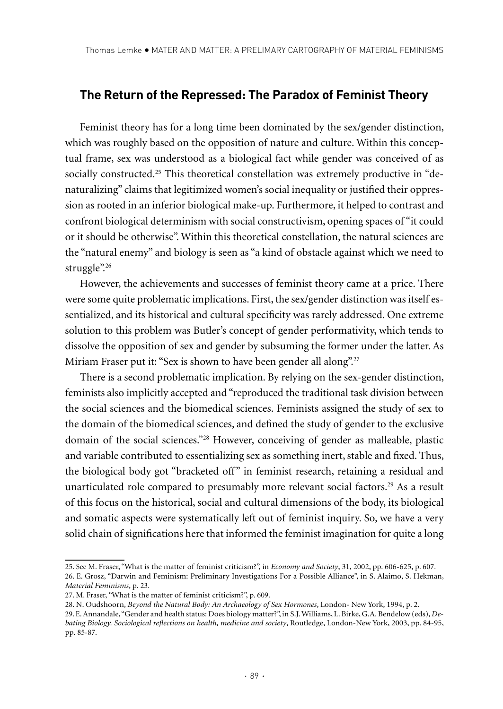#### **The Return of the Repressed: The Paradox of Feminist Theory**

Feminist theory has for a long time been dominated by the sex/gender distinction, which was roughly based on the opposition of nature and culture. Within this conceptual frame, sex was understood as a biological fact while gender was conceived of as socially constructed.<sup>25</sup> This theoretical constellation was extremely productive in "denaturalizing" claims that legitimized women's social inequality or justified their oppression as rooted in an inferior biological make-up. Furthermore, it helped to contrast and confront biological determinism with social constructivism, opening spaces of "it could or it should be otherwise". Within this theoretical constellation, the natural sciences are the "natural enemy" and biology is seen as "a kind of obstacle against which we need to struggle".<sup>26</sup>

However, the achievements and successes of feminist theory came at a price. There were some quite problematic implications. First, the sex/gender distinction was itself essentialized, and its historical and cultural specificity was rarely addressed. One extreme solution to this problem was Butler's concept of gender performativity, which tends to dissolve the opposition of sex and gender by subsuming the former under the latter. As Miriam Fraser put it: "Sex is shown to have been gender all along".<sup>27</sup>

There is a second problematic implication. By relying on the sex-gender distinction, feminists also implicitly accepted and "reproduced the traditional task division between the social sciences and the biomedical sciences. Feminists assigned the study of sex to the domain of the biomedical sciences, and defined the study of gender to the exclusive domain of the social sciences."28 However, conceiving of gender as malleable, plastic and variable contributed to essentializing sex as something inert, stable and fixed. Thus, the biological body got "bracketed off" in feminist research, retaining a residual and unarticulated role compared to presumably more relevant social factors.<sup>29</sup> As a result of this focus on the historical, social and cultural dimensions of the body, its biological and somatic aspects were systematically left out of feminist inquiry. So, we have a very solid chain of significations here that informed the feminist imagination for quite a long

<sup>25.</sup> See M. Fraser, "What is the matter of feminist criticism?", in *Economy and Society*, 31, 2002, pp. 606-625, p. 607.

<sup>26.</sup> E. Grosz, "Darwin and Feminism: Preliminary Investigations For a Possible Alliance", in S. Alaimo, S. Hekman, *Material Feminisms*, p. 23.

<sup>27.</sup> M. Fraser, "What is the matter of feminist criticism?", p. 609.

<sup>28.</sup> N. Oudshoorn, *Beyond the Natural Body: An Archaeology of Sex Hormones*, London- New York, 1994, p. 2.

<sup>29.</sup> E. Annandale, "Gender and health status: Does biology matter?", in S.J. Williams, L. Birke, G.A. Bendelow (eds), *Debating Biology. Sociological reflections on health, medicine and society*, Routledge, London-New York, 2003, pp. 84-95, pp. 85-87.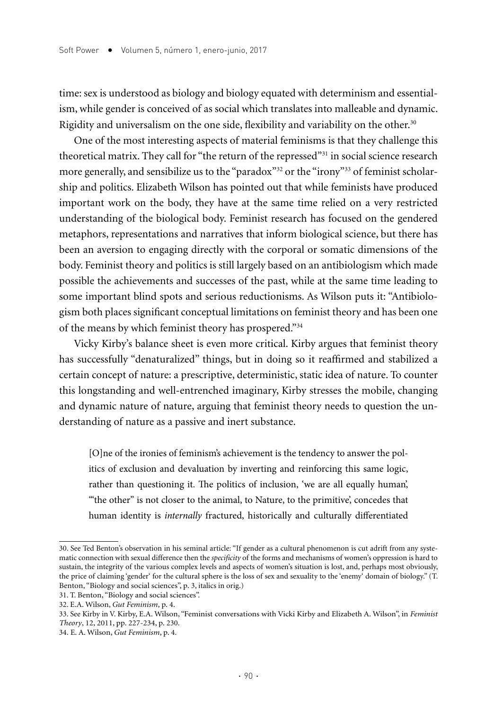time: sex is understood as biology and biology equated with determinism and essentialism, while gender is conceived of as social which translates into malleable and dynamic. Rigidity and universalism on the one side, flexibility and variability on the other.<sup>30</sup>

One of the most interesting aspects of material feminisms is that they challenge this theoretical matrix. They call for "the return of the repressed"31 in social science research more generally, and sensibilize us to the "paradox"<sup>32</sup> or the "irony"<sup>33</sup> of feminist scholarship and politics. Elizabeth Wilson has pointed out that while feminists have produced important work on the body, they have at the same time relied on a very restricted understanding of the biological body. Feminist research has focused on the gendered metaphors, representations and narratives that inform biological science, but there has been an aversion to engaging directly with the corporal or somatic dimensions of the body. Feminist theory and politics is still largely based on an antibiologism which made possible the achievements and successes of the past, while at the same time leading to some important blind spots and serious reductionisms. As Wilson puts it: "Antibiologism both places significant conceptual limitations on feminist theory and has been one of the means by which feminist theory has prospered."34

Vicky Kirby's balance sheet is even more critical. Kirby argues that feminist theory has successfully "denaturalized" things, but in doing so it reaffirmed and stabilized a certain concept of nature: a prescriptive, deterministic, static idea of nature. To counter this longstanding and well-entrenched imaginary, Kirby stresses the mobile, changing and dynamic nature of nature, arguing that feminist theory needs to question the understanding of nature as a passive and inert substance.

[O]ne of the ironies of feminism's achievement is the tendency to answer the politics of exclusion and devaluation by inverting and reinforcing this same logic, rather than questioning it. The politics of inclusion, 'we are all equally human', '"the other" is not closer to the animal, to Nature, to the primitive', concedes that human identity is *internally* fractured, historically and culturally differentiated

<sup>30.</sup> See Ted Benton's observation in his seminal article: "If gender as a cultural phenomenon is cut adrift from any systematic connection with sexual difference then the *specificity* of the forms and mechanisms of women's oppression is hard to sustain, the integrity of the various complex levels and aspects of women's situation is lost, and, perhaps most obviously, the price of claiming 'gender' for the cultural sphere is the loss of sex and sexuality to the 'enemy' domain of biology." (T. Benton, "Biology and social sciences", p. 3, italics in orig.)

<sup>31.</sup> T. Benton, "Biology and social sciences".

<sup>32.</sup> E.A. Wilson, *Gut Feminism*, p. 4.

<sup>33.</sup> See Kirby in V. Kirby, E.A. Wilson, "Feminist conversations with Vicki Kirby and Elizabeth A. Wilson", in *Feminist Theory*, 12, 2011, pp. 227-234, p. 230.

<sup>34.</sup> E. A. Wilson, *Gut Feminism*, p. 4.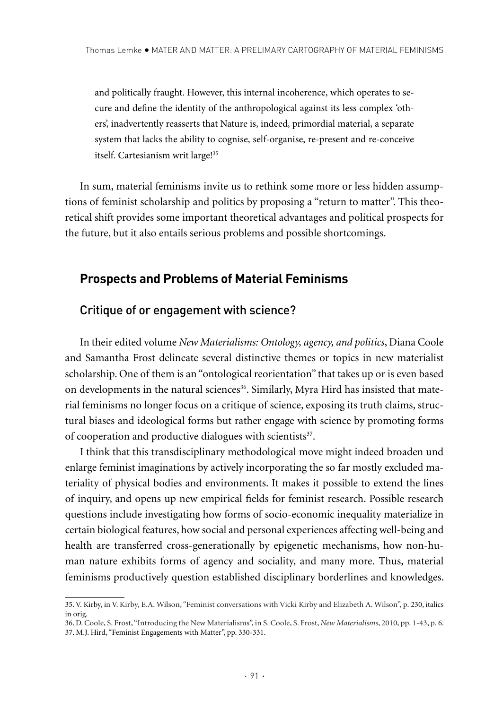and politically fraught. However, this internal incoherence, which operates to secure and define the identity of the anthropological against its less complex 'others', inadvertently reasserts that Nature is, indeed, primordial material, a separate system that lacks the ability to cognise, self-organise, re-present and re-conceive itself. Cartesianism writ large!35

In sum, material feminisms invite us to rethink some more or less hidden assumptions of feminist scholarship and politics by proposing a "return to matter". This theoretical shift provides some important theoretical advantages and political prospects for the future, but it also entails serious problems and possible shortcomings.

## **Prospects and Problems of Material Feminisms**

## Critique of or engagement with science?

In their edited volume *New Materialisms: Ontology, agency, and politics*, Diana Coole and Samantha Frost delineate several distinctive themes or topics in new materialist scholarship. One of them is an "ontological reorientation" that takes up or is even based on developments in the natural sciences<sup>36</sup>. Similarly, Myra Hird has insisted that material feminisms no longer focus on a critique of science, exposing its truth claims, structural biases and ideological forms but rather engage with science by promoting forms of cooperation and productive dialogues with scientists<sup>37</sup>.

I think that this transdisciplinary methodological move might indeed broaden und enlarge feminist imaginations by actively incorporating the so far mostly excluded materiality of physical bodies and environments. It makes it possible to extend the lines of inquiry, and opens up new empirical fields for feminist research. Possible research questions include investigating how forms of socio-economic inequality materialize in certain biological features, how social and personal experiences affecting well-being and health are transferred cross-generationally by epigenetic mechanisms, how non-human nature exhibits forms of agency and sociality, and many more. Thus, material feminisms productively question established disciplinary borderlines and knowledges.

<sup>35.</sup> V. Kirby, in V. Kirby, E.A. Wilson, "Feminist conversations with Vicki Kirby and Elizabeth A. Wilson", p. 230, italics in orig.

<sup>36.</sup> D. Coole, S. Frost, "Introducing the New Materialisms", in S. Coole, S. Frost, *New Materialisms*, 2010, pp. 1-43, p. 6. 37. M.J. Hird, "Feminist Engagements with Matter", pp. 330-331.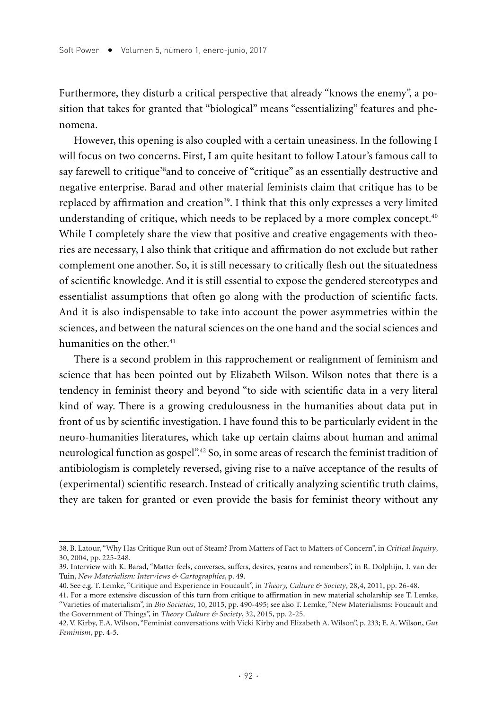Furthermore, they disturb a critical perspective that already "knows the enemy", a position that takes for granted that "biological" means "essentializing" features and phenomena.

However, this opening is also coupled with a certain uneasiness. In the following I will focus on two concerns. First, I am quite hesitant to follow Latour's famous call to say farewell to critique<sup>38</sup>and to conceive of "critique" as an essentially destructive and negative enterprise. Barad and other material feminists claim that critique has to be replaced by affirmation and creation<sup>39</sup>. I think that this only expresses a very limited understanding of critique, which needs to be replaced by a more complex concept.<sup>40</sup> While I completely share the view that positive and creative engagements with theories are necessary, I also think that critique and affirmation do not exclude but rather complement one another. So, it is still necessary to critically flesh out the situatedness of scientific knowledge. And it is still essential to expose the gendered stereotypes and essentialist assumptions that often go along with the production of scientific facts. And it is also indispensable to take into account the power asymmetries within the sciences, and between the natural sciences on the one hand and the social sciences and humanities on the other.<sup>41</sup>

There is a second problem in this rapprochement or realignment of feminism and science that has been pointed out by Elizabeth Wilson. Wilson notes that there is a tendency in feminist theory and beyond "to side with scientific data in a very literal kind of way. There is a growing credulousness in the humanities about data put in front of us by scientific investigation. I have found this to be particularly evident in the neuro-humanities literatures, which take up certain claims about human and animal neurological function as gospel".<sup>42</sup> So, in some areas of research the feminist tradition of antibiologism is completely reversed, giving rise to a naïve acceptance of the results of (experimental) scientific research. Instead of critically analyzing scientific truth claims, they are taken for granted or even provide the basis for feminist theory without any

<sup>38.</sup> B. Latour, "Why Has Critique Run out of Steam? From Matters of Fact to Matters of Concern", in *Critical Inquiry*, 30, 2004, pp. 225-248.

<sup>39.</sup> Interview with K. Barad, "Matter feels, converses, suffers, desires, yearns and remembers", in R. Dolphijn, I. van der Tuin, *New Materialism: Interviews & Cartographies*, p. 49.

<sup>40.</sup> See e.g. T. Lemke, "Critique and Experience in Foucault", in *Theory, Culture & Society*, 28,4, 2011, pp. 26-48.

<sup>41.</sup> For a more extensive discussion of this turn from critique to affirmation in new material scholarship see T. Lemke, "Varieties of materialism", in *Bio Societies*, 10, 2015, pp. 490-495; see also T. Lemke, "New Materialisms: Foucault and the Government of Things", in *Theory Culture & Society*, 32, 2015, pp. 2-25.

<sup>42.</sup> V. Kirby, E.A. Wilson, "Feminist conversations with Vicki Kirby and Elizabeth A. Wilson", p. 233; E. A. Wilson, *Gut Feminism*, pp. 4-5.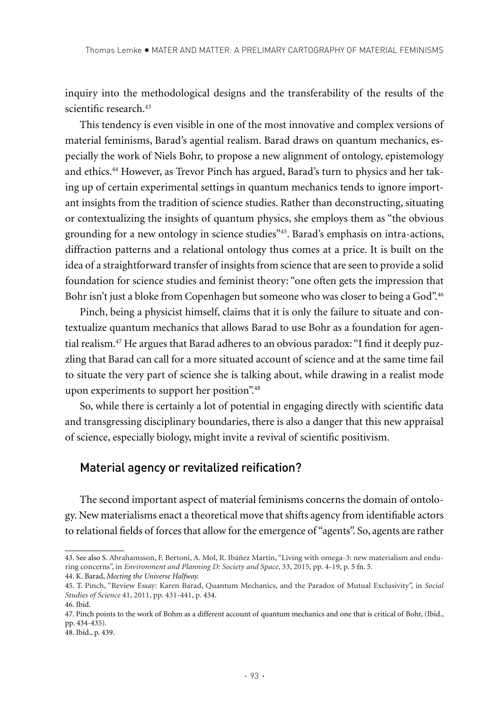inquiry into the methodological designs and the transferability of the results of the scientific research.<sup>43</sup>

This tendency is even visible in one of the most innovative and complex versions of material feminisms, Barad's agential realism. Barad draws on quantum mechanics, especially the work of Niels Bohr, to propose a new alignment of ontology, epistemology and ethics.44 However, as Trevor Pinch has argued, Barad's turn to physics and her taking up of certain experimental settings in quantum mechanics tends to ignore important insights from the tradition of science studies. Rather than deconstructing, situating or contextualizing the insights of quantum physics, she employs them as "the obvious grounding for a new ontology in science studies"45. Barad's emphasis on intra-actions, diffraction patterns and a relational ontology thus comes at a price. It is built on the idea of a straightforward transfer of insights from science that are seen to provide a solid foundation for science studies and feminist theory: "one often gets the impression that Bohr isn't just a bloke from Copenhagen but someone who was closer to being a God".<sup>46</sup>

Pinch, being a physicist himself, claims that it is only the failure to situate and contextualize quantum mechanics that allows Barad to use Bohr as a foundation for agential realism.47 He argues that Barad adheres to an obvious paradox: "I find it deeply puzzling that Barad can call for a more situated account of science and at the same time fail to situate the very part of science she is talking about, while drawing in a realist mode upon experiments to support her position".48

So, while there is certainly a lot of potential in engaging directly with scientific data and transgressing disciplinary boundaries, there is also a danger that this new appraisal of science, especially biology, might invite a revival of scientific positivism.

## Material agency or revitalized reification?

The second important aspect of material feminisms concerns the domain of ontology. New materialisms enact a theoretical move that shifts agency from identifiable actors to relational fields of forces that allow for the emergence of "agents". So, agents are rather

<sup>43.</sup> See also S. Abrahamsson, F. Bertoni, A. Mol, R. Ibáñez Martín, "Living with omega-3: new materialism and enduring concerns", in *Environment and Planning D: Society and Space*, 33, 2015, pp. 4-19, p. 5 fn. 5. 44. K. Barad, *Meeting the Universe Halfway.*

<sup>45.</sup> T. Pinch, "Review Essay: Karen Barad, Quantum Mechanics, and the Paradox of Mutual Exclusivity", in *Social Studies of Science* 41, 2011, pp. 431-441, p. 434.

<sup>46.</sup> Ibid.

<sup>47.</sup> Pinch points to the work of Bohm as a different account of quantum mechanics and one that is critical of Bohr, (Ibid., pp. 434-435).

<sup>48.</sup> Ibid., p. 439.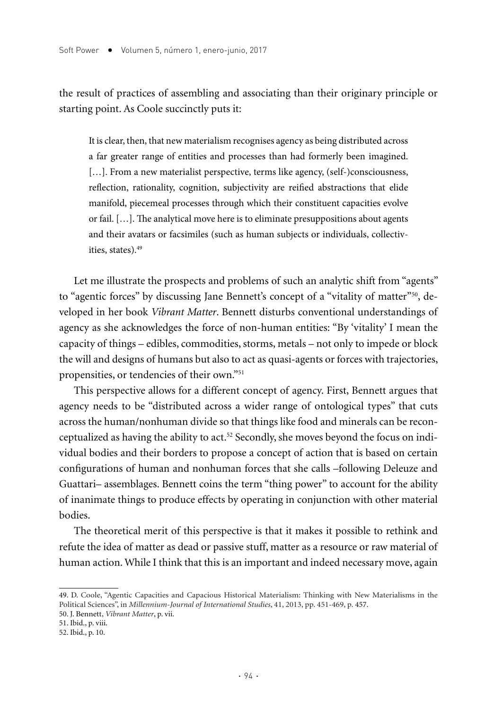the result of practices of assembling and associating than their originary principle or starting point. As Coole succinctly puts it:

It is clear, then, that new materialism recognises agency as being distributed across a far greater range of entities and processes than had formerly been imagined. [...]. From a new materialist perspective, terms like agency, (self-)consciousness, reflection, rationality, cognition, subjectivity are reified abstractions that elide manifold, piecemeal processes through which their constituent capacities evolve or fail. […]. The analytical move here is to eliminate presuppositions about agents and their avatars or facsimiles (such as human subjects or individuals, collectivities, states).49

Let me illustrate the prospects and problems of such an analytic shift from "agents" to "agentic forces" by discussing Jane Bennett's concept of a "vitality of matter"50, developed in her book *Vibrant Matter*. Bennett disturbs conventional understandings of agency as she acknowledges the force of non-human entities: "By 'vitality' I mean the capacity of things – edibles, commodities, storms, metals – not only to impede or block the will and designs of humans but also to act as quasi-agents or forces with trajectories, propensities, or tendencies of their own."51

This perspective allows for a different concept of agency. First, Bennett argues that agency needs to be "distributed across a wider range of ontological types" that cuts across the human/nonhuman divide so that things like food and minerals can be reconceptualized as having the ability to act.52 Secondly, she moves beyond the focus on individual bodies and their borders to propose a concept of action that is based on certain configurations of human and nonhuman forces that she calls –following Deleuze and Guattari– assemblages. Bennett coins the term "thing power" to account for the ability of inanimate things to produce effects by operating in conjunction with other material bodies.

The theoretical merit of this perspective is that it makes it possible to rethink and refute the idea of matter as dead or passive stuff, matter as a resource or raw material of human action. While I think that this is an important and indeed necessary move, again

<sup>49.</sup> D. Coole, "Agentic Capacities and Capacious Historical Materialism: Thinking with New Materialisms in the Political Sciences", in *Millennium-Journal of International Studies*, 41, 2013, pp. 451-469, p. 457.

<sup>50.</sup> J. Bennett, *Vibrant Matter*, p. vii. 51. Ibid., p. viii.

<sup>52.</sup> Ibid., p. 10.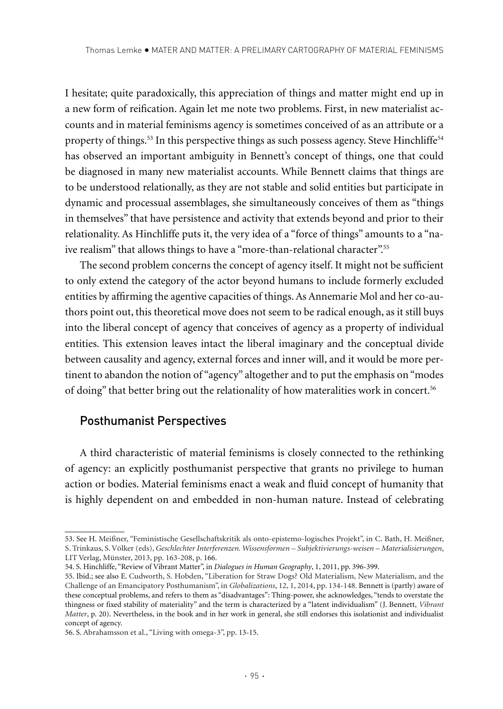I hesitate; quite paradoxically, this appreciation of things and matter might end up in a new form of reification. Again let me note two problems. First, in new materialist accounts and in material feminisms agency is sometimes conceived of as an attribute or a property of things.<sup>53</sup> In this perspective things as such possess agency. Steve Hinchliffe<sup>54</sup> has observed an important ambiguity in Bennett's concept of things, one that could be diagnosed in many new materialist accounts. While Bennett claims that things are to be understood relationally, as they are not stable and solid entities but participate in dynamic and processual assemblages, she simultaneously conceives of them as "things in themselves" that have persistence and activity that extends beyond and prior to their relationality. As Hinchliffe puts it, the very idea of a "force of things" amounts to a "naive realism" that allows things to have a "more-than-relational character".<sup>55</sup>

The second problem concerns the concept of agency itself. It might not be sufficient to only extend the category of the actor beyond humans to include formerly excluded entities by affirming the agentive capacities of things. As Annemarie Mol and her co-authors point out, this theoretical move does not seem to be radical enough, as it still buys into the liberal concept of agency that conceives of agency as a property of individual entities. This extension leaves intact the liberal imaginary and the conceptual divide between causality and agency, external forces and inner will, and it would be more pertinent to abandon the notion of "agency" altogether and to put the emphasis on "modes of doing" that better bring out the relationality of how materalities work in concert.56

## Posthumanist Perspectives

A third characteristic of material feminisms is closely connected to the rethinking of agency: an explicitly posthumanist perspective that grants no privilege to human action or bodies. Material feminisms enact a weak and fluid concept of humanity that is highly dependent on and embedded in non-human nature. Instead of celebrating

<sup>53.</sup> See H. Meißner, "Feministische Gesellschaftskritik als onto-epistemo-logisches Projekt", in C. Bath, H. Meißner, S. Trinkaus, S. Völker (eds), *Geschlechter Interferenzen. Wissensformen – Subjektivierungs-weisen – Materialisierungen*, LIT Verlag, Münster, 2013, pp. 163-208, p. 166.

<sup>54.</sup> S. Hinchliffe, "Review of Vibrant Matter", in *Dialogues in Human Geography*, 1, 2011, pp. 396-399.

<sup>55.</sup> Ibid.; see also E. Cudworth, S. Hobden, "Liberation for Straw Dogs? Old Materialism, New Materialism, and the Challenge of an Emancipatory Posthumanism", in *Globalizations*, 12, 1, 2014, pp. 134-148. Bennett is (partly) aware of these conceptual problems, and refers to them as "disadvantages": Thing-power, she acknowledges, "tends to overstate the thingness or fixed stability of materiality" and the term is characterized by a "latent individualism" (J. Bennett, *Vibrant Matter*, p. 20). Nevertheless, in the book and in her work in general, she still endorses this isolationist and individualist concept of agency.

<sup>56.</sup> S. Abrahamsson et al., "Living with omega-3", pp. 13-15.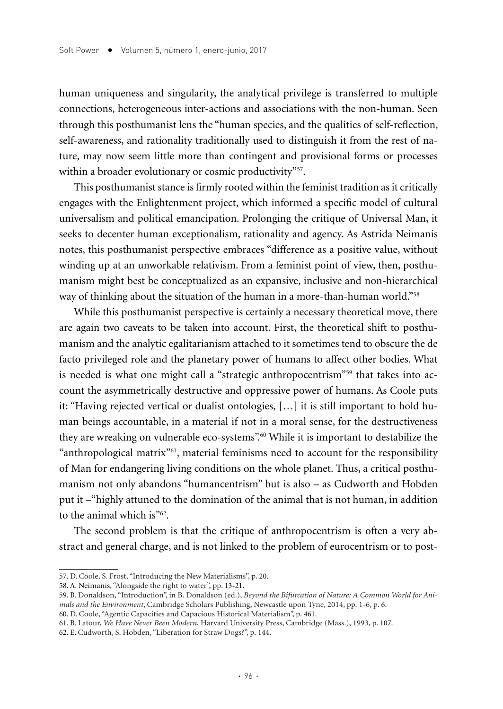human uniqueness and singularity, the analytical privilege is transferred to multiple connections, heterogeneous inter-actions and associations with the non-human. Seen through this posthumanist lens the "human species, and the qualities of self-reflection, self-awareness, and rationality traditionally used to distinguish it from the rest of nature, may now seem little more than contingent and provisional forms or processes within a broader evolutionary or cosmic productivity"<sup>57</sup>.

This posthumanist stance is firmly rooted within the feminist tradition as it critically engages with the Enlightenment project, which informed a specific model of cultural universalism and political emancipation. Prolonging the critique of Universal Man, it seeks to decenter human exceptionalism, rationality and agency. As Astrida Neimanis notes, this posthumanist perspective embraces "difference as a positive value, without winding up at an unworkable relativism. From a feminist point of view, then, posthumanism might best be conceptualized as an expansive, inclusive and non-hierarchical way of thinking about the situation of the human in a more-than-human world."<sup>58</sup>

While this posthumanist perspective is certainly a necessary theoretical move, there are again two caveats to be taken into account. First, the theoretical shift to posthumanism and the analytic egalitarianism attached to it sometimes tend to obscure the de facto privileged role and the planetary power of humans to affect other bodies. What is needed is what one might call a "strategic anthropocentrism"<sup>59</sup> that takes into account the asymmetrically destructive and oppressive power of humans. As Coole puts it: "Having rejected vertical or dualist ontologies, […] it is still important to hold human beings accountable, in a material if not in a moral sense, for the destructiveness they are wreaking on vulnerable eco-systems".60 While it is important to destabilize the "anthropological matrix"61, material feminisms need to account for the responsibility of Man for endangering living conditions on the whole planet. Thus, a critical posthumanism not only abandons "humancentrism" but is also – as Cudworth and Hobden put it –"highly attuned to the domination of the animal that is not human, in addition to the animal which is"<sup>62</sup>.

The second problem is that the critique of anthropocentrism is often a very abstract and general charge, and is not linked to the problem of eurocentrism or to post-

<sup>57.</sup> D. Coole, S. Frost, "Introducing the New Materialisms", p. 20.

<sup>58.</sup> A. Neimanis, "Alongside the right to water", pp. 13-21.

<sup>59.</sup> B. Donaldson, "Introduction", in B. Donaldson (ed.), *Beyond the Bifurcation of Nature: A Common World for Animals and the Environment*, Cambridge Scholars Publishing, Newcastle upon Tyne, 2014, pp. 1-6, p. 6.

<sup>60.</sup> D. Coole, "Agentic Capacities and Capacious Historical Materialism", p. 461.

<sup>61.</sup> B. Latour, *We Have Never Been Modern*, Harvard University Press, Cambridge (Mass.), 1993, p. 107.

<sup>62.</sup> E. Cudworth, S. Hobden, "Liberation for Straw Dogs?", p. 144.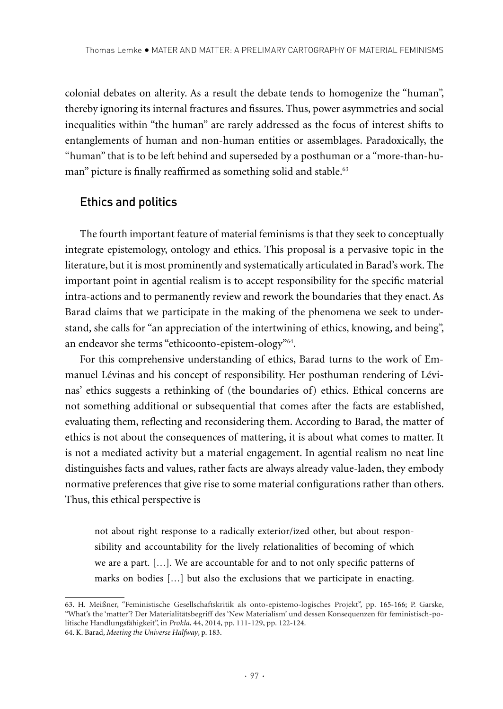colonial debates on alterity. As a result the debate tends to homogenize the "human", thereby ignoring its internal fractures and fissures. Thus, power asymmetries and social inequalities within "the human" are rarely addressed as the focus of interest shifts to entanglements of human and non-human entities or assemblages. Paradoxically, the "human" that is to be left behind and superseded by a posthuman or a "more-than-human" picture is finally reaffirmed as something solid and stable.<sup>63</sup>

## Ethics and politics

The fourth important feature of material feminisms is that they seek to conceptually integrate epistemology, ontology and ethics. This proposal is a pervasive topic in the literature, but it is most prominently and systematically articulated in Barad's work. The important point in agential realism is to accept responsibility for the specific material intra-actions and to permanently review and rework the boundaries that they enact. As Barad claims that we participate in the making of the phenomena we seek to understand, she calls for "an appreciation of the intertwining of ethics, knowing, and being", an endeavor she terms "ethicoonto-epistem-ology"64.

For this comprehensive understanding of ethics, Barad turns to the work of Emmanuel Lévinas and his concept of responsibility. Her posthuman rendering of Lévinas' ethics suggests a rethinking of (the boundaries of) ethics. Ethical concerns are not something additional or subsequential that comes after the facts are established, evaluating them, reflecting and reconsidering them. According to Barad, the matter of ethics is not about the consequences of mattering, it is about what comes to matter. It is not a mediated activity but a material engagement. In agential realism no neat line distinguishes facts and values, rather facts are always already value-laden, they embody normative preferences that give rise to some material configurations rather than others. Thus, this ethical perspective is

not about right response to a radically exterior/ized other, but about responsibility and accountability for the lively relationalities of becoming of which we are a part. […]. We are accountable for and to not only specific patterns of marks on bodies […] but also the exclusions that we participate in enacting.

<sup>63.</sup> H. Meißner, "Feministische Gesellschaftskritik als onto-epistemo-logisches Projekt", pp. 165-166; P. Garske, "What's the 'matter'? Der Materialitätsbegriff des 'New Materialism' und dessen Konsequenzen für feministisch-politische Handlungsfähigkeit", in *Prokla*, 44, 2014, pp. 111-129, pp. 122-124. 64. K. Barad, *Meeting the Universe Halfway*, p. 183.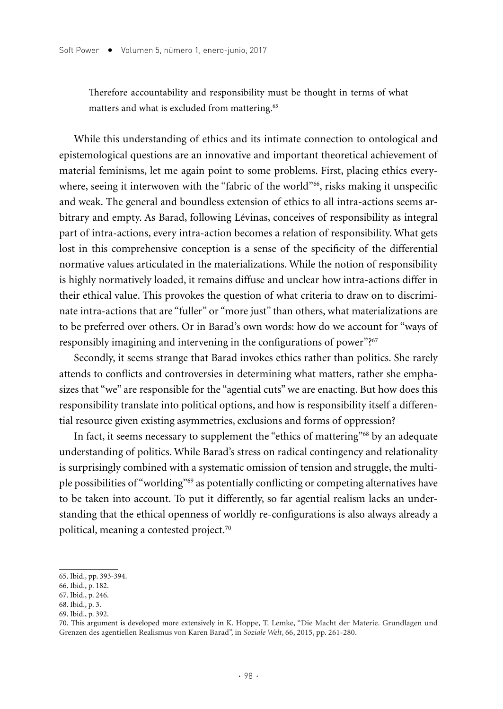Therefore accountability and responsibility must be thought in terms of what matters and what is excluded from mattering.<sup>65</sup>

While this understanding of ethics and its intimate connection to ontological and epistemological questions are an innovative and important theoretical achievement of material feminisms, let me again point to some problems. First, placing ethics everywhere, seeing it interwoven with the "fabric of the world"<sup>66</sup>, risks making it unspecific and weak. The general and boundless extension of ethics to all intra-actions seems arbitrary and empty. As Barad, following Lévinas, conceives of responsibility as integral part of intra-actions, every intra-action becomes a relation of responsibility. What gets lost in this comprehensive conception is a sense of the specificity of the differential normative values articulated in the materializations. While the notion of responsibility is highly normatively loaded, it remains diffuse and unclear how intra-actions differ in their ethical value. This provokes the question of what criteria to draw on to discriminate intra-actions that are "fuller" or "more just" than others, what materializations are to be preferred over others. Or in Barad's own words: how do we account for "ways of responsibly imagining and intervening in the configurations of power"?<sup>67</sup>

Secondly, it seems strange that Barad invokes ethics rather than politics. She rarely attends to conflicts and controversies in determining what matters, rather she emphasizes that "we" are responsible for the "agential cuts" we are enacting. But how does this responsibility translate into political options, and how is responsibility itself a differential resource given existing asymmetries, exclusions and forms of oppression?

In fact, it seems necessary to supplement the "ethics of mattering"<sup>68</sup> by an adequate understanding of politics. While Barad's stress on radical contingency and relationality is surprisingly combined with a systematic omission of tension and struggle, the multiple possibilities of "worlding"69 as potentially conflicting or competing alternatives have to be taken into account. To put it differently, so far agential realism lacks an understanding that the ethical openness of worldly re-configurations is also always already a political, meaning a contested project.<sup>70</sup>

- 68. Ibid., p. 3.
- 69. Ibid., p. 392.

<sup>65.</sup> Ibid., pp. 393-394.

<sup>66.</sup> Ibid., p. 182.

<sup>67.</sup> Ibid., p. 246.

<sup>70.</sup> This argument is developed more extensively in K. Hoppe, T. Lemke, "Die Macht der Materie. Grundlagen und Grenzen des agentiellen Realismus von Karen Barad", in *Soziale Welt*, 66, 2015, pp. 261-280.